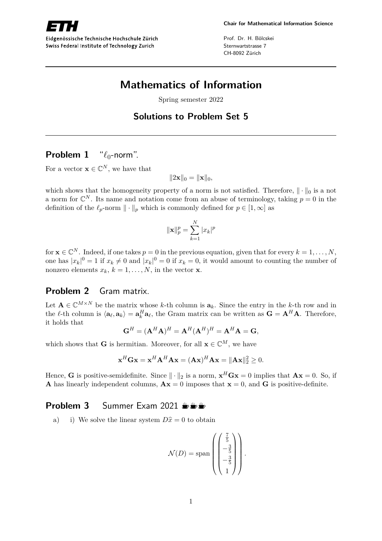

Eidgenössische Technische Hochschule Zürich Swiss Federal Institute of Technology Zurich

Prof. Dr. H. Bölcskei Sternwartstrasse 7 CH-8092 Zürich

# **Mathematics of Information**

Spring semester 2022

### **Solutions to Problem Set 5**

### **Problem 1** " $\ell_0$ -norm".

For a vector  $\mathbf{x} \in \mathbb{C}^N$ , we have that

 $||2\mathbf{x}||_0 = ||\mathbf{x}||_0,$ 

which shows that the homogeneity property of a norm is not satisfied. Therefore,  $\|\cdot\|_0$  is a not a norm for  $\mathbb{C}^N$ . Its name and notation come from an abuse of terminology, taking  $p=0$  in the definition of the  $\ell_p$ -norm  $\|\cdot\|_p$  which is commonly defined for  $p \in [1, \infty]$  as

$$
\|\mathbf{x}\|_{p}^{p} = \sum_{k=1}^{N} |x_{k}|^{p}
$$

for  $\mathbf{x} \in \mathbb{C}^N$ . Indeed, if one takes  $p = 0$  in the previous equation, given that for every  $k = 1, \ldots, N$ , one has  $|x_k|^0 = 1$  if  $x_k \neq 0$  and  $|x_k|^0 = 0$  if  $x_k = 0$ , it would amount to counting the number of nonzero elements  $x_k$ ,  $k = 1, \ldots, N$ , in the vector **x**.

#### **Problem 2** Gram matrix.

Let  $\mathbf{A} \in \mathbb{C}^{M \times N}$  be the matrix whose *k*-th column is  $\mathbf{a}_k$ . Since the entry in the *k*-th row and in the  $\ell$ -th column is  $\langle \mathbf{a}_{\ell}, \mathbf{a}_{k} \rangle = \mathbf{a}_{k}^{H} \mathbf{a}_{\ell}$ , the Gram matrix can be written as  $\mathbf{G} = \mathbf{A}^{H} \mathbf{A}$ . Therefore, it holds that

$$
\mathbf{G}^{H} = (\mathbf{A}^{H} \mathbf{A})^{H} = \mathbf{A}^{H} (\mathbf{A}^{H})^{H} = \mathbf{A}^{H} \mathbf{A} = \mathbf{G},
$$

which shows that **G** is hermitian. Moreover, for all  $\mathbf{x} \in \mathbb{C}^M$ , we have

$$
\mathbf{x}^H \mathbf{G} \mathbf{x} = \mathbf{x}^H \mathbf{A}^H \mathbf{A} \mathbf{x} = (\mathbf{A} \mathbf{x})^H \mathbf{A} \mathbf{x} = ||\mathbf{A} \mathbf{x}||_2^2 \ge 0.
$$

Hence, **G** is positive-semidefinite. Since  $\|\cdot\|_2$  is a norm,  $\mathbf{x}^H \mathbf{G} \mathbf{x} = 0$  implies that  $\mathbf{A} \mathbf{x} = 0$ . So, if **A** has linearly independent columns,  $\mathbf{A}\mathbf{x} = 0$  imposes that  $\mathbf{x} = 0$ , and **G** is positive-definite.

#### **Problem 3** Summer Exam 2021  $\frac{1}{2}$

a) i) We solve the linear system  $D\hat{x} = 0$  to obtain

$$
\mathcal{N}(D) = \text{span}\left(\begin{pmatrix} \frac{7}{5} \\ -\frac{3}{5} \\ -\frac{3}{5} \\ 1 \end{pmatrix}\right).
$$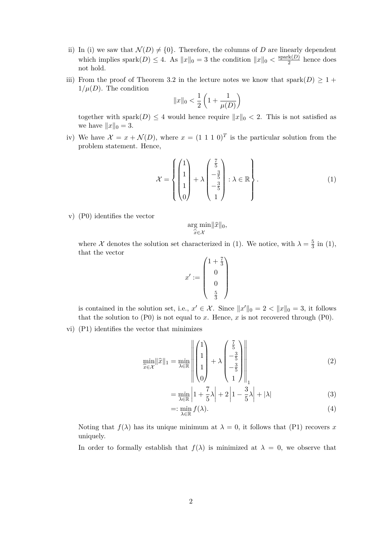- ii) In (i) we saw that  $\mathcal{N}(D) \neq \{0\}$ . Therefore, the columns of *D* are linearly dependent which implies spark $(D) \leq 4$ . As  $||x||_0 = 3$  the condition  $||x||_0 < \frac{\text{spark}(D)}{2}$  $\frac{\text{rk}(D)}{2}$  hence does not hold.
- iii) From the proof of Theorem 3.2 in the lecture notes we know that spark $(D) \geq 1 +$  $1/\mu(D)$ . The condition

$$
||x||_0 < \frac{1}{2} \left( 1 + \frac{1}{\mu(D)} \right)
$$

together with spark $(D) \leq 4$  would hence require  $||x||_0 < 2$ . This is not satisfied as we have  $||x||_0 = 3$ .

iv) We have  $\mathcal{X} = x + \mathcal{N}(D)$ , where  $x = (1 \ 1 \ 1 \ 0)^T$  is the particular solution from the problem statement. Hence,

$$
\mathcal{X} = \left\{ \begin{pmatrix} 1 \\ 1 \\ 1 \\ 0 \end{pmatrix} + \lambda \begin{pmatrix} \frac{7}{5} \\ -\frac{3}{5} \\ -\frac{3}{5} \\ 1 \end{pmatrix} : \lambda \in \mathbb{R} \right\}.
$$
 (1)

v) (P0) identifies the vector

$$
\underset{\widehat{x}\in\mathcal{X}}{\arg\min} \|\widehat{x}\|_0,
$$

where X denotes the solution set characterized in (1). We notice, with  $\lambda = \frac{5}{3}$  $\frac{5}{3}$  in (1), that the vector

$$
x' := \begin{pmatrix} 1 + \frac{7}{3} \\ 0 \\ 0 \\ 0 \\ \frac{5}{3} \end{pmatrix}
$$

is contained in the solution set, i.e.,  $x' \in \mathcal{X}$ . Since  $||x'||_0 = 2 < ||x||_0 = 3$ , it follows that the solution to  $(P0)$  is not equal to *x*. Hence, *x* is not recovered through  $(P0)$ .

vi) (P1) identifies the vector that minimizes

$$
\min_{\widehat{x} \in \mathcal{X}} \|\widehat{x}\|_1 = \min_{\lambda \in \mathbb{R}} \left\| \begin{pmatrix} 1 \\ 1 \\ 1 \\ 0 \end{pmatrix} + \lambda \begin{pmatrix} \frac{7}{5} \\ -\frac{3}{5} \\ -\frac{3}{5} \\ 1 \end{pmatrix} \right\|_1 \tag{2}
$$

$$
= \min_{\lambda \in \mathbb{R}} \left| 1 + \frac{7}{5}\lambda \right| + 2 \left| 1 - \frac{3}{5}\lambda \right| + |\lambda| \tag{3}
$$

$$
=:\min_{\lambda\in\mathbb{R}}f(\lambda).
$$
\n(4)

Noting that  $f(\lambda)$  has its unique minimum at  $\lambda = 0$ , it follows that (P1) recovers x uniquely.

In order to formally establish that  $f(\lambda)$  is minimized at  $\lambda = 0$ , we observe that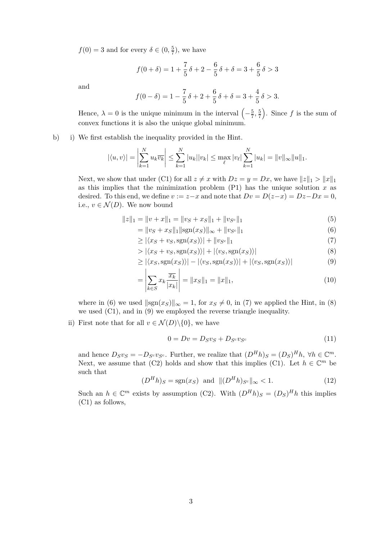$f(0) = 3$  and for every  $\delta \in (0, \frac{5}{7})$  $(\frac{5}{7})$ , we have

$$
f(0+\delta) = 1 + \frac{7}{5}\delta + 2 - \frac{6}{5}\delta + \delta = 3 + \frac{6}{5}\delta > 3
$$

and

$$
f(0 - \delta) = 1 - \frac{7}{5}\delta + 2 + \frac{6}{5}\delta + \delta = 3 + \frac{4}{5}\delta > 3.
$$

Hence,  $\lambda = 0$  is the unique minimum in the interval  $\left(-\frac{5}{7}\right)$  $\frac{5}{7}, \frac{5}{7}$  $\left(\frac{5}{7}\right)$ . Since f is the sum of convex functions it is also the unique global minimum.

#### b) i) We first establish the inequality provided in the Hint.

$$
|\langle u, v \rangle| = \left| \sum_{k=1}^{N} u_k \overline{v_k} \right| \le \sum_{k=1}^{N} |u_k| |v_k| \le \max_{\ell} |v_{\ell}| \sum_{k=1}^{N} |u_k| = ||v||_{\infty} ||u||_1.
$$

Next, we show that under (C1) for all  $z \neq x$  with  $Dz = y = Dx$ , we have  $||z||_1 > ||x||_1$ as this implies that the minimization problem  $(P1)$  has the unique solution  $x$  as desired. To this end, we define  $v := z - x$  and note that  $Dv = D(z-x) = Dz - Dx = 0$ , i.e.,  $v \in \mathcal{N}(D)$ . We now bound

$$
||z||_1 = ||v + x||_1 = ||v_S + x_S||_1 + ||v_{S^c}||_1
$$
\n(5)

$$
= \|v_S + x_S\|_1 \|\text{sgn}(x_S)\|_{\infty} + \|v_{S^c}\|_1 \tag{6}
$$

$$
\geq |\langle x_S + v_S, \text{sgn}(x_S) \rangle| + \|v_{S^c}\|_1 \tag{7}
$$

$$
> |\langle x_S + v_S, \text{sgn}(x_S) \rangle| + |\langle v_S, \text{sgn}(x_S) \rangle|
$$
\n<sup>(8)</sup>

$$
\geq |\langle x_S, \text{sgn}(x_S) \rangle| - |\langle v_S, \text{sgn}(x_S) \rangle| + |\langle v_S, \text{sgn}(x_S) \rangle| \tag{9}
$$

$$
= \left| \sum_{k \in S} x_k \frac{\overline{x_k}}{|x_k|} \right| = \|x_S\|_1 = \|x\|_1,\tag{10}
$$

where in (6) we used  $\|\text{sgn}(x_S)\|_{\infty} = 1$ , for  $x_S \neq 0$ , in (7) we applied the Hint, in (8) we used (C1), and in (9) we employed the reverse triangle inequality.

ii) First note that for all  $v \in \mathcal{N}(D) \setminus \{0\}$ , we have

$$
0 = Dv = D_S v_S + D_{S^c} v_{S^c}
$$
\n<sup>(11)</sup>

and hence  $D_S v_S = -D_{S^c} v_{S^c}$ . Further, we realize that  $(D^H h)_S = (D_S)^H h$ ,  $\forall h \in \mathbb{C}^m$ . Next, we assume that (C2) holds and show that this implies (C1). Let  $h \in \mathbb{C}^m$  be such that

$$
(D^{H}h)_{S} = \text{sgn}(x_{S}) \text{ and } ||(D^{H}h)_{S^{c}}||_{\infty} < 1.
$$
 (12)

Such an  $h \in \mathbb{C}^m$  exists by assumption (C2). With  $(D^H h)_S = (D_S)^H h$  this implies (C1) as follows,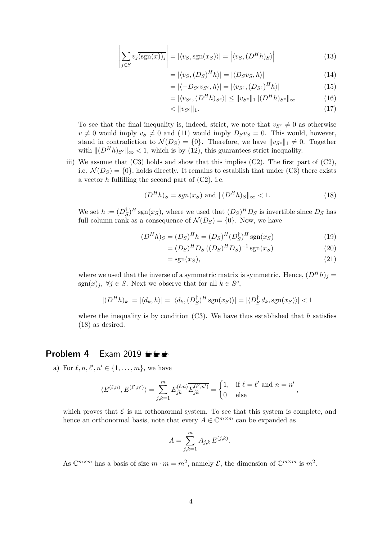$$
\left| \sum_{j \in S} v_j \overline{\left(\text{sgn}(x)\right)_j} \right| = \left| \langle v_S, \text{sgn}(x_S) \rangle \right| = \left| \langle v_S, (D^H h)_S \rangle \right| \tag{13}
$$

$$
= |\langle v_S, (D_S)^H h \rangle| = |\langle D_S v_S, h \rangle| \tag{14}
$$

$$
= |\langle -D_{S^c} v_{S^c}, h \rangle| = |\langle v_{S^c}, (D_{S^c})^H h \rangle| \tag{15}
$$

$$
= |\langle v_{S^c}, (D^H h)_{S^c} \rangle| \le ||v_{S^c}||_1 || (D^H h)_{S^c}||_{\infty}
$$
\n(16)

$$
\langle \|v_{S^c}\|_1. \tag{17}
$$

To see that the final inequality is, indeed, strict, we note that  $v_{S}c \neq 0$  as otherwise  $v \neq 0$  would imply  $v_S \neq 0$  and (11) would imply  $D_S v_S = 0$ . This would, however, stand in contradiction to  $\mathcal{N}(D_S) = \{0\}$ . Therefore, we have  $||v_{S^c}||_1 \neq 0$ . Together with  $\|(D^H h)_{S^c}\|_{\infty} < 1$ , which is by (12), this guarantees strict inequality.

iii) We assume that  $(C3)$  holds and show that this implies  $(C2)$ . The first part of  $(C2)$ , i.e.  $\mathcal{N}(D_S) = \{0\}$ , holds directly. It remains to establish that under (C3) there exists a vector *h* fulfilling the second part of (C2), i.e.

$$
(DHh)S = sgn(xS) \text{ and } ||(DHh)S||_{\infty} < 1.
$$
 (18)

We set  $h := (D_{\mathcal{S}}^{\dagger})$  $(S)$ <sup>*H*</sup> sgn(*x*<sub>*S*</sub>), where we used that  $(D_S)^H D_S$  is invertible since  $D_S$  has full column rank as a consequence of  $\mathcal{N}(D_S) = \{0\}$ . Now, we have

$$
(DHh)S = (DS)Hh = (DS)H(DS\dagger)H sgn(xS)
$$
\n(19)

$$
= (D_S)^H D_S ((D_S)^H D_S)^{-1} sgn(x_S)
$$
\n(20)

$$
=sgn(xS), \t(21)
$$

where we used that the inverse of a symmetric matrix is symmetric. Hence,  $(D^H h)_j$  = sgn $(x)_j$ ,  $\forall j \in S$ . Next we observe that for all  $k \in S^c$ ,

$$
|(D^{H}h)_{k}| = |\langle d_{k}, h \rangle| = |\langle d_{k}, (D_{S}^{\dagger})^{H} \operatorname{sgn}(x_{S}) \rangle| = |\langle D_{S}^{\dagger} d_{k}, \operatorname{sgn}(x_{S}) \rangle| < 1
$$

where the inequality is by condition (C3). We have thus established that *h* satisfies (18) as desired.

#### **Problem 4** Exam 2019  $\frac{1}{2}$

a) For  $\ell, n, \ell', n' \in \{1, \ldots, m\}$ , we have

$$
\langle E^{(\ell,n)}, E^{(\ell',n')} \rangle = \sum_{j,k=1}^m E_{jk}^{(\ell,n)} \overline{E_{jk}^{(\ell',n')}} = \begin{cases} 1, & \text{if } \ell = \ell' \text{ and } n = n' \\ 0 & \text{else} \end{cases},
$$

which proves that  $\mathcal E$  is an orthonormal system. To see that this system is complete, and hence an orthonormal basis, note that every  $A \in \mathbb{C}^{m \times m}$  can be expanded as

$$
A = \sum_{j,k=1}^{m} A_{j,k} E^{(j,k)}.
$$

As  $\mathbb{C}^{m \times m}$  has a basis of size  $m \cdot m = m^2$ , namely  $\mathcal{E}$ , the dimension of  $\mathbb{C}^{m \times m}$  is  $m^2$ .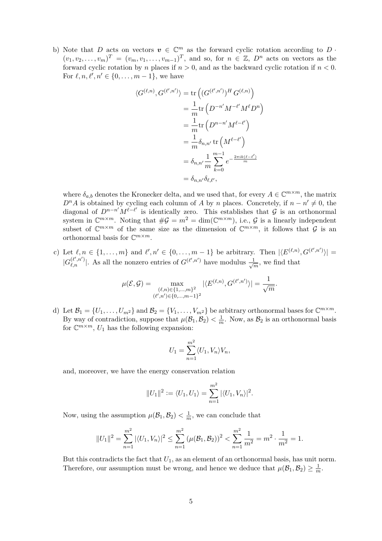b) Note that *D* acts on vectors  $v \in \mathbb{C}^m$  as the forward cyclic rotation according to *D*.  $(v_1, v_2, \ldots, v_m)^T = (v_m, v_1, \ldots, v_{m-1})^T$ , and so, for  $n \in \mathbb{Z}$ ,  $D^n$  acts on vectors as the forward cyclic rotation by *n* places if  $n > 0$ , and as the backward cyclic rotation if  $n < 0$ . For  $\ell, n, \ell', n' \in \{0, ..., m - 1\}$ , we have

$$
\langle G^{(\ell,n)}, G^{(\ell',n')} \rangle = \text{tr}\left( (G^{(\ell',n')})^H G^{(\ell,n)} \right)
$$
  

$$
= \frac{1}{m} \text{tr}\left( D^{-n'} M^{-\ell'} M^{\ell} D^n \right)
$$
  

$$
= \frac{1}{m} \text{tr}\left( D^{n-n'} M^{\ell-\ell'} \right)
$$
  

$$
= \frac{1}{m} \delta_{n,n'} \text{tr}\left( M^{\ell-\ell'} \right)
$$
  

$$
= \delta_{n,n'} \frac{1}{m} \sum_{k=0}^{m-1} e^{-\frac{2\pi i k(\ell-\ell')}{m}}
$$
  

$$
= \delta_{n,n'} \delta_{\ell,\ell'},
$$

where  $\delta_{a,b}$  denotes the Kronecker delta, and we used that, for every  $A \in \mathbb{C}^{m \times m}$ , the matrix  $D<sup>n</sup>A$  is obtained by cycling each column of *A* by *n* places. Concretely, if  $n - n' \neq 0$ , the diagonal of  $D^{n-n'}M^{\ell-\ell'}$  is identically zero. This establishes that  $\mathcal G$  is an orthonormal system in  $\mathbb{C}^{m \times m}$ . Noting that  $\#\mathcal{G} = m^2 = \dim(\mathbb{C}^{m \times m})$ , i.e.,  $\mathcal{G}$  is a linearly independent subset of  $\mathbb{C}^{m \times m}$  of the same size as the dimension of  $\mathbb{C}^{m \times m}$ , it follows that  $\mathcal G$  is an orthonormal basis for  $\mathbb{C}^{m \times m}$ .

c) Let  $\ell, n \in \{1, ..., m\}$  and  $\ell', n' \in \{0, ..., m-1\}$  be arbitrary. Then  $|\langle E^{(\ell,n)}, G^{(\ell',n')}\rangle|$  $|G_{\ell,n}^{(\ell',n')}|$ . As all the nonzero entries of  $G^{(\ell',n')}$  have modulus  $\frac{1}{\sqrt{n}}$  $\frac{1}{m}$ , we find that

$$
\mu(\mathcal{E}, \mathcal{G}) = \max_{\substack{(\ell,n) \in \{1, \ldots, m\}^2 \\ (\ell',n') \in \{0, \ldots, m-1\}^2}} |\langle E^{(\ell,n)}, G^{(\ell',n')} \rangle| = \frac{1}{\sqrt{m}}.
$$

d) Let  $\mathcal{B}_1 = \{U_1, \ldots, U_{m^2}\}\$  and  $\mathcal{B}_2 = \{V_1, \ldots, V_{m^2}\}\$  be arbitrary orthonormal bases for  $\mathbb{C}^{m \times m}$ . By way of contradiction, suppose that  $\mu(\mathcal{B}_1, \mathcal{B}_2) < \frac{1}{n}$  $\frac{1}{m}$ . Now, as  $\mathcal{B}_2$  is an orthonormal basis for  $\mathbb{C}^{m \times m}$ ,  $U_1$  has the following expansion:

$$
U_1 = \sum_{n=1}^{m^2} \langle U_1, V_n \rangle V_n,
$$

and, moreover, we have the energy conservation relation

$$
||U_1||^2 := \langle U_1, U_1 \rangle = \sum_{n=1}^{m^2} |\langle U_1, V_n \rangle|^2.
$$

Now, using the assumption  $\mu(\mathcal{B}_1, \mathcal{B}_2) < \frac{1}{n}$  $\frac{1}{m}$ , we can conclude that

$$
||U_1||^2 = \sum_{n=1}^{m^2} |\langle U_1, V_n \rangle|^2 \le \sum_{n=1}^{m^2} (\mu(\mathcal{B}_1, \mathcal{B}_2))^2 < \sum_{n=1}^{m^2} \frac{1}{m^2} = m^2 \cdot \frac{1}{m^2} = 1.
$$

But this contradicts the fact that  $U_1$ , as an element of an orthonormal basis, has unit norm. Therefore, our assumption must be wrong, and hence we deduce that  $\mu(\mathcal{B}_1, \mathcal{B}_2) \geq \frac{1}{n}$  $\frac{1}{m}$ .